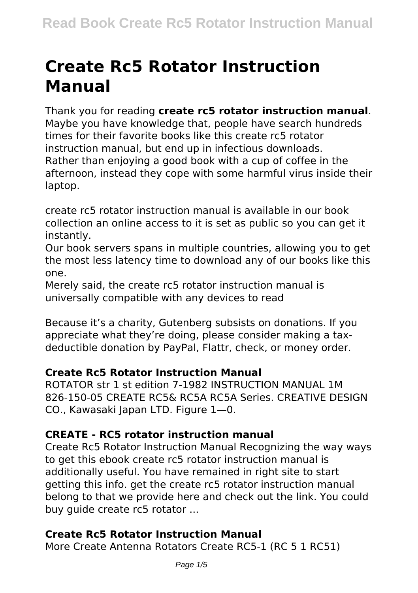# **Create Rc5 Rotator Instruction Manual**

Thank you for reading **create rc5 rotator instruction manual**. Maybe you have knowledge that, people have search hundreds times for their favorite books like this create rc5 rotator instruction manual, but end up in infectious downloads. Rather than enjoying a good book with a cup of coffee in the afternoon, instead they cope with some harmful virus inside their laptop.

create rc5 rotator instruction manual is available in our book collection an online access to it is set as public so you can get it instantly.

Our book servers spans in multiple countries, allowing you to get the most less latency time to download any of our books like this one.

Merely said, the create rc5 rotator instruction manual is universally compatible with any devices to read

Because it's a charity, Gutenberg subsists on donations. If you appreciate what they're doing, please consider making a taxdeductible donation by PayPal, Flattr, check, or money order.

## **Create Rc5 Rotator Instruction Manual**

ROTATOR str 1 st edition 7-1982 INSTRUCTION MANUAL 1M 826-150-05 CREATE RC5& RC5A RC5A Series. CREATIVE DESIGN CO., Kawasaki Japan LTD. Figure 1—0.

## **CREATE - RC5 rotator instruction manual**

Create Rc5 Rotator Instruction Manual Recognizing the way ways to get this ebook create rc5 rotator instruction manual is additionally useful. You have remained in right site to start getting this info. get the create rc5 rotator instruction manual belong to that we provide here and check out the link. You could buy guide create rc5 rotator ...

#### **Create Rc5 Rotator Instruction Manual**

More Create Antenna Rotators Create RC5-1 (RC 5 1 RC51)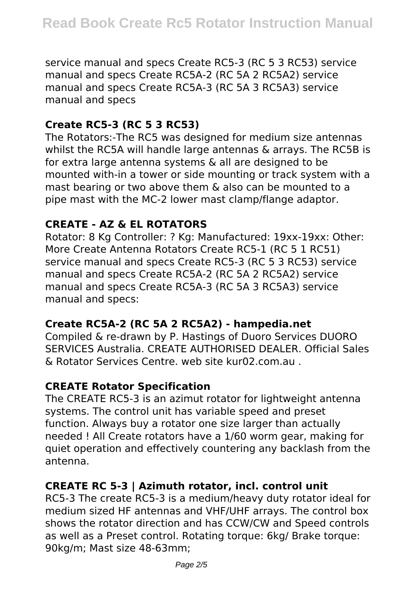service manual and specs Create RC5-3 (RC 5 3 RC53) service manual and specs Create RC5A-2 (RC 5A 2 RC5A2) service manual and specs Create RC5A-3 (RC 5A 3 RC5A3) service manual and specs

## **Create RC5-3 (RC 5 3 RC53)**

The Rotators:-The RC5 was designed for medium size antennas whilst the RC5A will handle large antennas & arrays. The RC5B is for extra large antenna systems & all are designed to be mounted with-in a tower or side mounting or track system with a mast bearing or two above them & also can be mounted to a pipe mast with the MC-2 lower mast clamp/flange adaptor.

#### **CREATE - AZ & EL ROTATORS**

Rotator: 8 Kg Controller: ? Kg: Manufactured: 19xx-19xx: Other: More Create Antenna Rotators Create RC5-1 (RC 5 1 RC51) service manual and specs Create RC5-3 (RC 5 3 RC53) service manual and specs Create RC5A-2 (RC 5A 2 RC5A2) service manual and specs Create RC5A-3 (RC 5A 3 RC5A3) service manual and specs:

#### **Create RC5A-2 (RC 5A 2 RC5A2) - hampedia.net**

Compiled & re-drawn by P. Hastings of Duoro Services DUORO SERVICES Australia. CREATE AUTHORISED DEALER. Official Sales & Rotator Services Centre. web site kur02.com.au .

#### **CREATE Rotator Specification**

The CREATE RC5-3 is an azimut rotator for lightweight antenna systems. The control unit has variable speed and preset function. Always buy a rotator one size larger than actually needed ! All Create rotators have a 1/60 worm gear, making for quiet operation and effectively countering any backlash from the antenna.

## **CREATE RC 5-3 | Azimuth rotator, incl. control unit**

RC5-3 The create RC5-3 is a medium/heavy duty rotator ideal for medium sized HF antennas and VHF/UHF arrays. The control box shows the rotator direction and has CCW/CW and Speed controls as well as a Preset control. Rotating torque: 6kg/ Brake torque: 90kg/m; Mast size 48-63mm;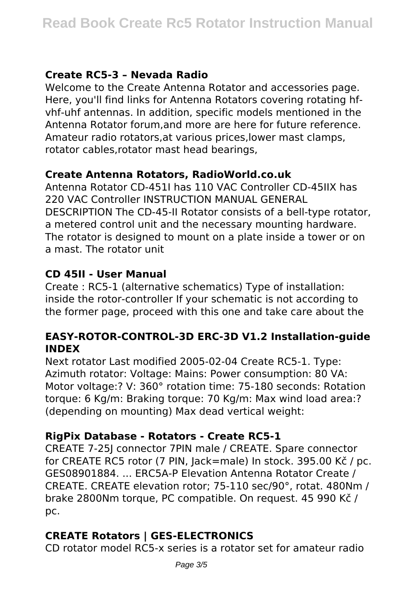## **Create RC5-3 – Nevada Radio**

Welcome to the Create Antenna Rotator and accessories page. Here, you'll find links for Antenna Rotators covering rotating hfvhf-uhf antennas. In addition, specific models mentioned in the Antenna Rotator forum,and more are here for future reference. Amateur radio rotators,at various prices,lower mast clamps, rotator cables,rotator mast head bearings,

#### **Create Antenna Rotators, RadioWorld.co.uk**

Antenna Rotator CD-451I has 110 VAC Controller CD-45IIX has 220 VAC Controller INSTRUCTION MANUAL GENERAL DESCRIPTION The CD-45-II Rotator consists of a bell-type rotator, a metered control unit and the necessary mounting hardware. The rotator is designed to mount on a plate inside a tower or on a mast. The rotator unit

#### **CD 45II - User Manual**

Create : RC5-1 (alternative schematics) Type of installation: inside the rotor-controller If your schematic is not according to the former page, proceed with this one and take care about the

#### **EASY-ROTOR-CONTROL-3D ERC-3D V1.2 Installation-guide INDEX**

Next rotator Last modified 2005-02-04 Create RC5-1. Type: Azimuth rotator: Voltage: Mains: Power consumption: 80 VA: Motor voltage:? V: 360° rotation time: 75-180 seconds: Rotation torque: 6 Kg/m: Braking torque: 70 Kg/m: Max wind load area:? (depending on mounting) Max dead vertical weight:

## **RigPix Database - Rotators - Create RC5-1**

CREATE 7-25J connector 7PIN male / CREATE. Spare connector for CREATE RC5 rotor (7 PIN, Jack=male) In stock. 395.00 Kč / pc. GES08901884. ... ERC5A-P Elevation Antenna Rotator Create / CREATE. CREATE elevation rotor; 75-110 sec/90°, rotat. 480Nm / brake 2800Nm torque, PC compatible. On request. 45 990 Kč / pc.

# **CREATE Rotators | GES-ELECTRONICS**

CD rotator model RC5-x series is a rotator set for amateur radio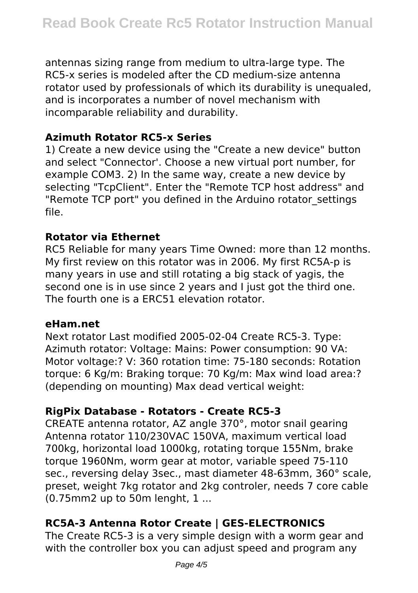antennas sizing range from medium to ultra-large type. The RC5-x series is modeled after the CD medium-size antenna rotator used by professionals of which its durability is unequaled, and is incorporates a number of novel mechanism with incomparable reliability and durability.

#### **Azimuth Rotator RC5-x Series**

1) Create a new device using the "Create a new device" button and select "Connector'. Choose a new virtual port number, for example COM3. 2) In the same way, create a new device by selecting "TcpClient". Enter the "Remote TCP host address" and "Remote TCP port" you defined in the Arduino rotator\_settings file.

#### **Rotator via Ethernet**

RC5 Reliable for many years Time Owned: more than 12 months. My first review on this rotator was in 2006. My first RC5A-p is many years in use and still rotating a big stack of yagis, the second one is in use since 2 years and I just got the third one. The fourth one is a ERC51 elevation rotator.

#### **eHam.net**

Next rotator Last modified 2005-02-04 Create RC5-3. Type: Azimuth rotator: Voltage: Mains: Power consumption: 90 VA: Motor voltage:? V: 360 rotation time: 75-180 seconds: Rotation torque: 6 Kg/m: Braking torque: 70 Kg/m: Max wind load area:? (depending on mounting) Max dead vertical weight:

## **RigPix Database - Rotators - Create RC5-3**

CREATE antenna rotator, AZ angle 370°, motor snail gearing Antenna rotator 110/230VAC 150VA, maximum vertical load 700kg, horizontal load 1000kg, rotating torque 155Nm, brake torque 1960Nm, worm gear at motor, variable speed 75-110 sec., reversing delay 3sec., mast diameter 48-63mm, 360° scale, preset, weight 7kg rotator and 2kg controler, needs 7 core cable (0.75mm2 up to 50m lenght, 1 ...

# **RC5A-3 Antenna Rotor Create | GES-ELECTRONICS**

The Create RC5-3 is a very simple design with a worm gear and with the controller box you can adjust speed and program any